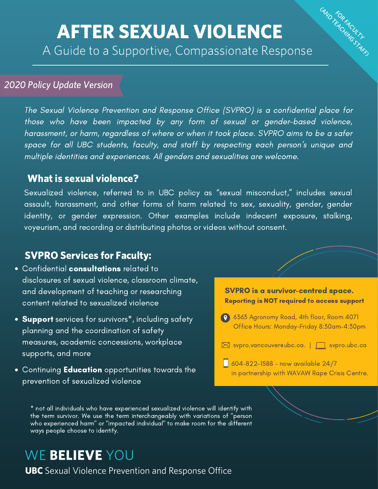# AFTER SEXUAL VIOLENCE

A Guide to a Supportive, Compassionate Response

## 2020 Policy Update Version

The Sexual Violence Prevention and Response Office (SVPRO) is a confidential place for those who have been impacted by any form of sexual or gender-based violence, harassment, or harm, regardless of where or when it took place. SVPRO aims to be a safer space for all UBC students, faculty, and staff by respecting each person's unique and multiple identities and experiences. All genders and sexualities are welcome.

## What is sexual violence?

Sexualized violence, referred to in UBC policy as "sexual misconduct," includes sexual assault, harassment, and other forms of harm related to sex, sexuality, gender, gender identity, or gender expression. Other examples include indecent exposure, stalking, voyeurism, and recording or distributing photos or videos without consent.

## SVPRO Services for Faculty:

- **Confidential consultations** related to disclosures of sexual violence, classroom climate, and development of teaching or researching content related to sexualized violence
- Support services for survivors<sup>\*</sup>, including safety planning and the coordination of safety measures, academic concessions, workplace supports, and more
- Continuing **Education** opportunities towards the prevention of sexualized violence



GNO TEACHING STAFF

604-822-1588 - now available 24/7 in partnership with WAVAW Rape Crisis Centre.

\* not all individuals who have experienced sexualized violence will identify with the term survivor. We use the term interchangeably with variations of "person who experienced harm" or "impacted individual" to make room for the different ways people choose to identify.

## WE BELIEVE YOU

**UBC** Sexual Violence Prevention and Response Office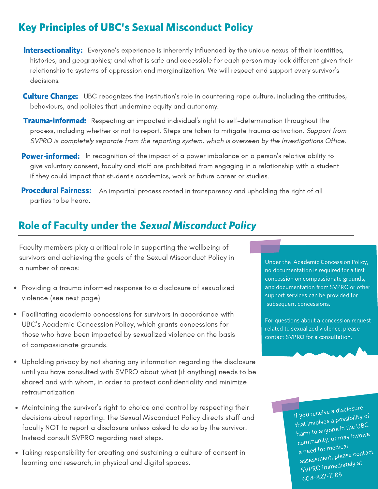## Key Principles of UBC's Sexual Misconduct Policy

Intersectionality: Everyone's experience is inherently influenced by the unique nexus of their identities, histories, and geographies; and what is safe and accessible for each person may look different given their relationship to systems of oppression and marginalization. We will respect and support every survivor's decisions.

- **Culture Change:** UBC recognizes the institution's role in countering rape culture, including the attitudes, behaviours, and policies that undermine equity and autonomy.
- **Trauma-informed:** Respecting an impacted individual's right to self-determination throughout the process, including whether or not to report. Steps are taken to mitigate trauma activation. Support from SVPRO is completely separate from the reporting system, which is overseen by the Investigations Office.
- Power-informed: In recognition of the impact of a power imbalance on a person's relative ability to give voluntary consent, faculty and staff are prohibited from engaging in a relationship with a student if they could impact that student's academics, work or future career or studies.
- **Procedural Fairness:** An impartial process rooted in transparency and upholding the right of all parties to be heard.

## Role of Faculty under the Sexual Misconduct Policy

Faculty members play a critical role in supporting the wellbeing of survivors and achieving the goals of the Sexual Misconduct Policy in a number of areas:

- Providing a trauma informed response to a disclosure of sexualized violence (see next page)
- Facilitating academic concessions for survivors in accordance with UBC's Academic Concession Policy, which grants concessions for those who have been impacted by sexualized violence on the basis of compassionate grounds.
- $\bullet$ Upholding privacy by not sharing any information regarding the disclosure until you have consulted with SVPRO about what (if anything) needs to be shared and with whom, in order to protect confidentiality and minimize retraumatization
- Maintaining the survivor's right to choice and control by respecting their decisions about reporting. The Sexual Misconduct Policy directs staff and faculty NOT to report a disclosure unless asked to do so by the survivor. Instead consult SVPRO regarding next steps.
- Taking responsibility for creating and sustaining a culture of consent in learning and research, in physical and digital spaces.

Under the Academic Concession Policy, no documentation is required for a first concession on compassionate grounds, and documentation from SVPRO or other support services can be provided for subsequent concessions.

For questions about a concession request related to sexualized violence, please contact SVPRO for a consultation.

> If you receive <sup>a</sup> disclosure that involves <sup>a</sup> possibility of harm to anyone in the UBC community, or may involve a need for medical assessment, <sup>p</sup>lease contact SVPRO immediately at 604-822-1588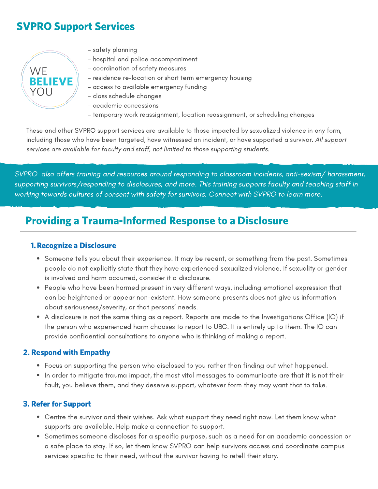## SVPRO Support Services



- safety planning
- hospital and police accompaniment
- coordination of safety measures
- residence re-location or short term emergency housing
- access to available emergency funding
- class schedule changes
- academic concessions
- temporary work reassignment, location reassignment, or scheduling changes

These and other SVPRO support services are available to those impacted by sexualized violence in any form, including those who have been targeted, have witnessed an incident, or have supported a survivor. All support services are available for faculty and staff, not limited to those supporting students.

SVPRO also offers training and resources around responding to classroom incidents, anti-sexism/ harassment, supporting survivors/responding to disclosures, and more. This training supports faculty and teaching staff in working towards cultures of consent with safety for survivors. Connect with SVPRO to learn more.

## Providing a Trauma-Informed Response to a Disclosure

#### 1.Recognize a Disclosure

- Someone tells you about their experience. It may be recent, or something from the past. Sometimes people do not explicitly state that they have experienced sexualized violence. If sexuality or gender is involved and harm occurred, consider it a disclosure.
- People who have been harmed present in very different ways, including emotional expression that can be heightened or appear non-existent. How someone presents does not give us information about seriousness/severity, or that persons' needs.
- A disclosure is not the same thing as a report. Reports are made to the Investigations Office (IO) if the person who experienced harm chooses to report to UBC. It is entirely up to them. The IO can provide confidential consultations to anyone who is thinking of making a report.

#### 2. Respond with Empathy

- Focus on supporting the person who disclosed to you rather than finding out what happened.
- In order to mitigate trauma impact, the most vital messages to communicate are that it is not their fault, you believe them, and they deserve support, whatever form they may want that to take.

#### 3. Refer for Support

- Centre the survivor and their wishes. Ask what support they need right now. Let them know what supports are available. Help make a connection to support.
- Sometimes someone discloses for a specific purpose, such as a need for an academic concession or a safe place to stay. If so, let them know SVPRO can help survivors access and coordinate campus services specific to their need, without the survivor having to retell their story.